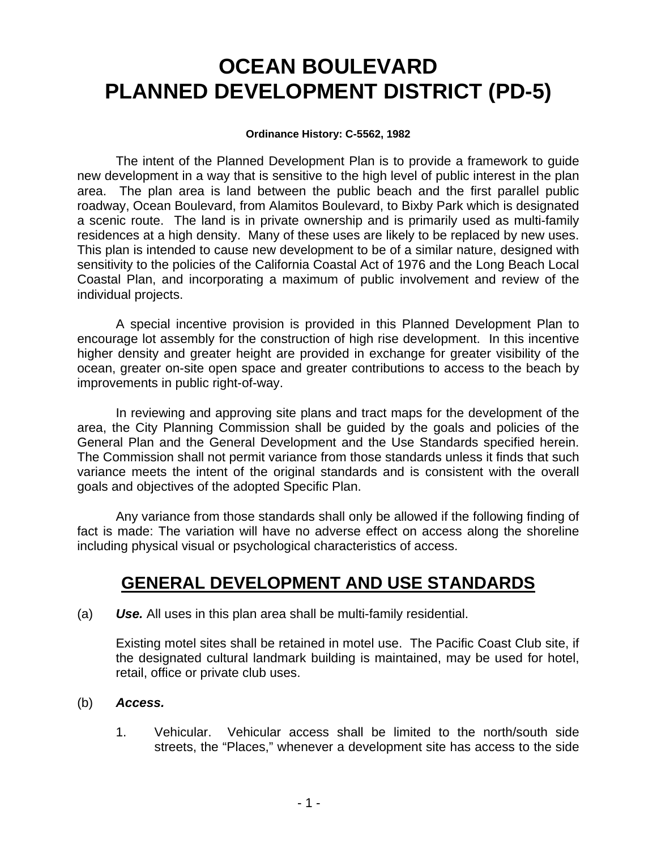# **OCEAN BOULEVARD PLANNED DEVELOPMENT DISTRICT (PD-5)**

#### **Ordinance History: C-5562, 1982**

The intent of the Planned Development Plan is to provide a framework to guide new development in a way that is sensitive to the high level of public interest in the plan area. The plan area is land between the public beach and the first parallel public roadway, Ocean Boulevard, from Alamitos Boulevard, to Bixby Park which is designated a scenic route. The land is in private ownership and is primarily used as multi-family residences at a high density. Many of these uses are likely to be replaced by new uses. This plan is intended to cause new development to be of a similar nature, designed with sensitivity to the policies of the California Coastal Act of 1976 and the Long Beach Local Coastal Plan, and incorporating a maximum of public involvement and review of the individual projects.

A special incentive provision is provided in this Planned Development Plan to encourage lot assembly for the construction of high rise development. In this incentive higher density and greater height are provided in exchange for greater visibility of the ocean, greater on-site open space and greater contributions to access to the beach by improvements in public right-of-way.

 In reviewing and approving site plans and tract maps for the development of the area, the City Planning Commission shall be guided by the goals and policies of the General Plan and the General Development and the Use Standards specified herein. The Commission shall not permit variance from those standards unless it finds that such variance meets the intent of the original standards and is consistent with the overall goals and objectives of the adopted Specific Plan.

 Any variance from those standards shall only be allowed if the following finding of fact is made: The variation will have no adverse effect on access along the shoreline including physical visual or psychological characteristics of access.

# **GENERAL DEVELOPMENT AND USE STANDARDS**

(a) *Use.* All uses in this plan area shall be multi-family residential.

Existing motel sites shall be retained in motel use. The Pacific Coast Club site, if the designated cultural landmark building is maintained, may be used for hotel, retail, office or private club uses.

- (b) *Access.*
	- 1. Vehicular. Vehicular access shall be limited to the north/south side streets, the "Places," whenever a development site has access to the side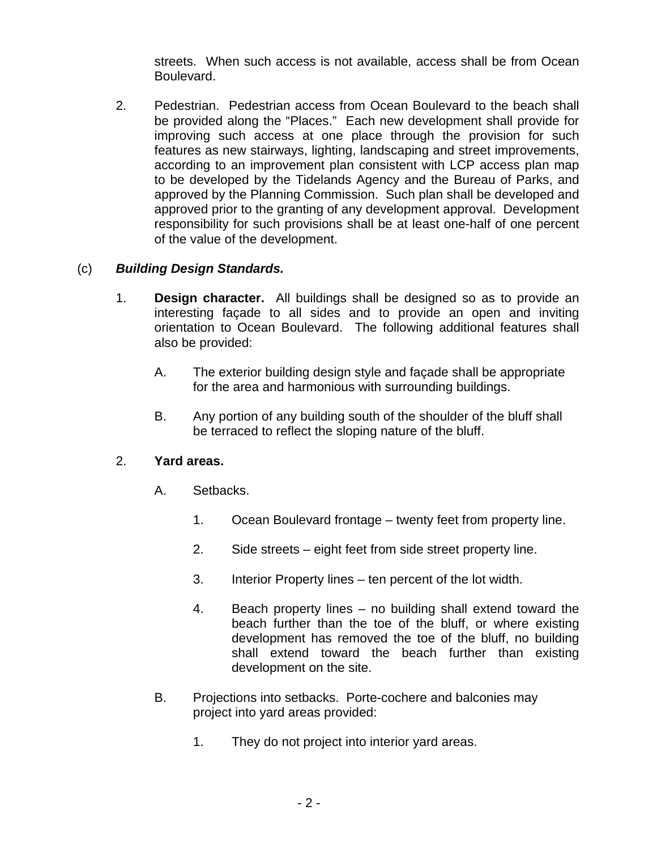streets. When such access is not available, access shall be from Ocean Boulevard.

2. Pedestrian. Pedestrian access from Ocean Boulevard to the beach shall be provided along the "Places." Each new development shall provide for improving such access at one place through the provision for such features as new stairways, lighting, landscaping and street improvements, according to an improvement plan consistent with LCP access plan map to be developed by the Tidelands Agency and the Bureau of Parks, and approved by the Planning Commission. Such plan shall be developed and approved prior to the granting of any development approval. Development responsibility for such provisions shall be at least one-half of one percent of the value of the development.

### (c) *Building Design Standards.*

- 1. **Design character.** All buildings shall be designed so as to provide an interesting façade to all sides and to provide an open and inviting orientation to Ocean Boulevard. The following additional features shall also be provided:
	- A. The exterior building design style and façade shall be appropriate for the area and harmonious with surrounding buildings.
	- B. Any portion of any building south of the shoulder of the bluff shall be terraced to reflect the sloping nature of the bluff.

#### 2. **Yard areas.**

- A. Setbacks.
	- 1. Ocean Boulevard frontage twenty feet from property line.
	- 2. Side streets eight feet from side street property line.
	- 3. Interior Property lines ten percent of the lot width.
	- 4. Beach property lines no building shall extend toward the beach further than the toe of the bluff, or where existing development has removed the toe of the bluff, no building shall extend toward the beach further than existing development on the site.
- B. Projections into setbacks. Porte-cochere and balconies may project into yard areas provided:
	- 1. They do not project into interior yard areas.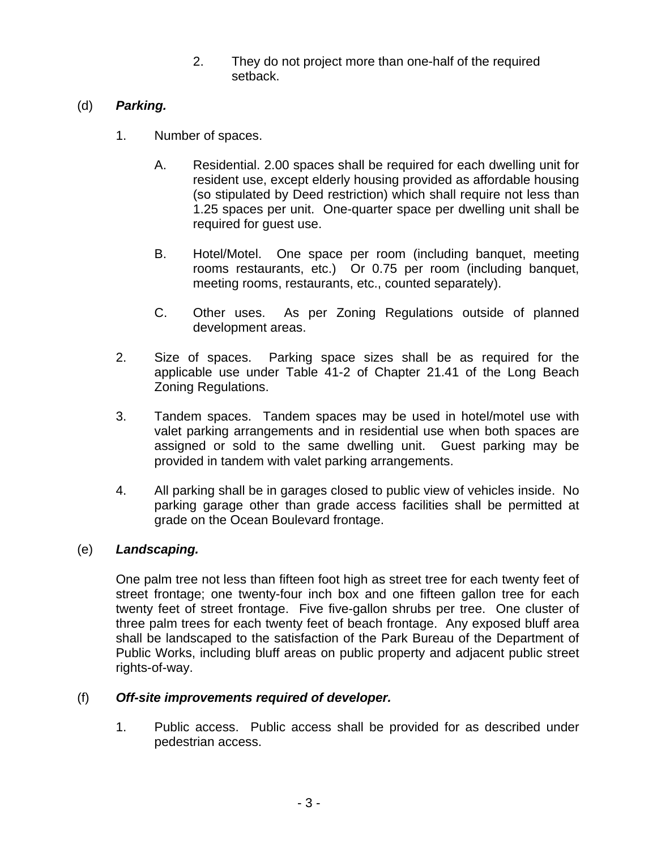2. They do not project more than one-half of the required setback.

# (d) *Parking.*

- 1. Number of spaces.
	- A. Residential. 2.00 spaces shall be required for each dwelling unit for resident use, except elderly housing provided as affordable housing (so stipulated by Deed restriction) which shall require not less than 1.25 spaces per unit. One-quarter space per dwelling unit shall be required for guest use.
	- B. Hotel/Motel. One space per room (including banquet, meeting rooms restaurants, etc.) Or 0.75 per room (including banquet, meeting rooms, restaurants, etc., counted separately).
	- C. Other uses. As per Zoning Regulations outside of planned development areas.
- 2. Size of spaces. Parking space sizes shall be as required for the applicable use under Table 41-2 of Chapter 21.41 of the Long Beach Zoning Regulations.
- 3. Tandem spaces. Tandem spaces may be used in hotel/motel use with valet parking arrangements and in residential use when both spaces are assigned or sold to the same dwelling unit. Guest parking may be provided in tandem with valet parking arrangements.
- 4. All parking shall be in garages closed to public view of vehicles inside. No parking garage other than grade access facilities shall be permitted at grade on the Ocean Boulevard frontage.

# (e) *Landscaping.*

One palm tree not less than fifteen foot high as street tree for each twenty feet of street frontage; one twenty-four inch box and one fifteen gallon tree for each twenty feet of street frontage. Five five-gallon shrubs per tree. One cluster of three palm trees for each twenty feet of beach frontage. Any exposed bluff area shall be landscaped to the satisfaction of the Park Bureau of the Department of Public Works, including bluff areas on public property and adjacent public street rights-of-way.

# (f) *Off-site improvements required of developer.*

1. Public access. Public access shall be provided for as described under pedestrian access.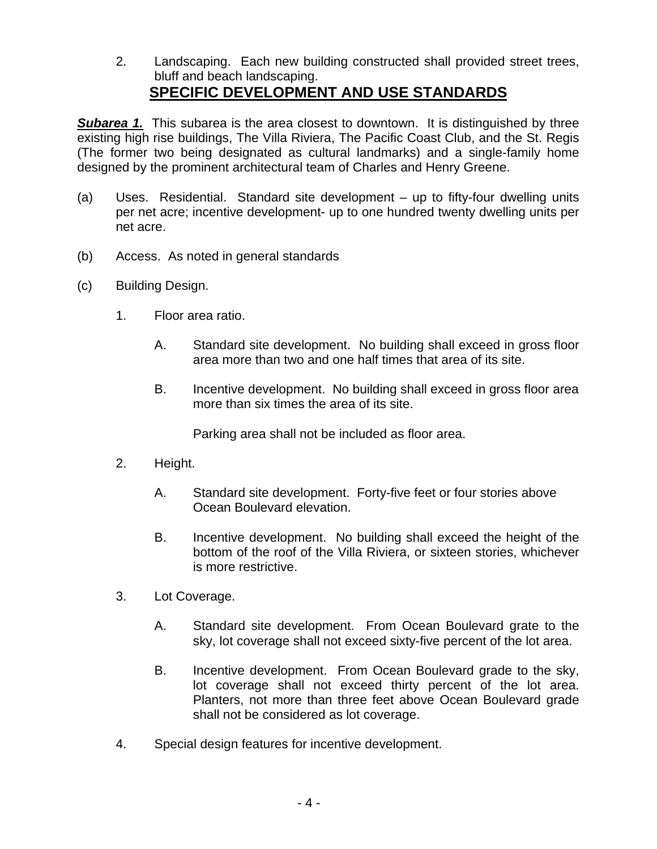2. Landscaping. Each new building constructed shall provided street trees, bluff and beach landscaping. **SPECIFIC DEVELOPMENT AND USE STANDARDS**

**Subarea 1.** This subarea is the area closest to downtown. It is distinguished by three existing high rise buildings, The Villa Riviera, The Pacific Coast Club, and the St. Regis (The former two being designated as cultural landmarks) and a single-family home designed by the prominent architectural team of Charles and Henry Greene.

- (a) Uses. Residential. Standard site development up to fifty-four dwelling units per net acre; incentive development- up to one hundred twenty dwelling units per net acre.
- (b) Access. As noted in general standards
- (c) Building Design.
	- 1. Floor area ratio.
		- A. Standard site development. No building shall exceed in gross floor area more than two and one half times that area of its site.
		- B. Incentive development. No building shall exceed in gross floor area more than six times the area of its site.

Parking area shall not be included as floor area.

- 2. Height.
	- A. Standard site development. Forty-five feet or four stories above Ocean Boulevard elevation.
	- B. Incentive development. No building shall exceed the height of the bottom of the roof of the Villa Riviera, or sixteen stories, whichever is more restrictive.
- 3. Lot Coverage.
	- A. Standard site development. From Ocean Boulevard grate to the sky, lot coverage shall not exceed sixty-five percent of the lot area.
	- B. Incentive development. From Ocean Boulevard grade to the sky, lot coverage shall not exceed thirty percent of the lot area. Planters, not more than three feet above Ocean Boulevard grade shall not be considered as lot coverage.
- 4. Special design features for incentive development.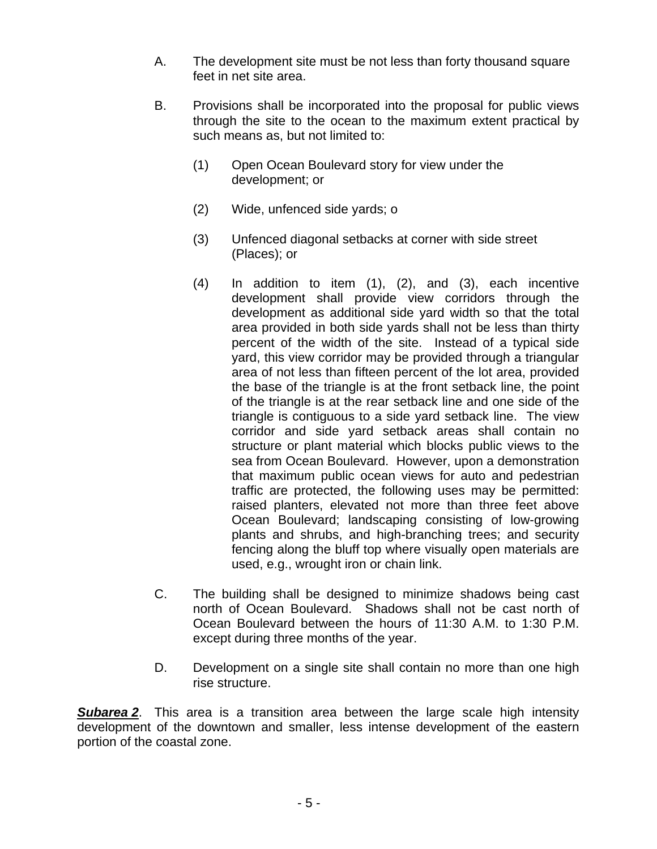- A. The development site must be not less than forty thousand square feet in net site area.
- B. Provisions shall be incorporated into the proposal for public views through the site to the ocean to the maximum extent practical by such means as, but not limited to:
	- (1) Open Ocean Boulevard story for view under the development; or
	- (2) Wide, unfenced side yards; o
	- (3) Unfenced diagonal setbacks at corner with side street (Places); or
	- (4) In addition to item (1), (2), and (3), each incentive development shall provide view corridors through the development as additional side yard width so that the total area provided in both side yards shall not be less than thirty percent of the width of the site. Instead of a typical side yard, this view corridor may be provided through a triangular area of not less than fifteen percent of the lot area, provided the base of the triangle is at the front setback line, the point of the triangle is at the rear setback line and one side of the triangle is contiguous to a side yard setback line. The view corridor and side yard setback areas shall contain no structure or plant material which blocks public views to the sea from Ocean Boulevard. However, upon a demonstration that maximum public ocean views for auto and pedestrian traffic are protected, the following uses may be permitted: raised planters, elevated not more than three feet above Ocean Boulevard; landscaping consisting of low-growing plants and shrubs, and high-branching trees; and security fencing along the bluff top where visually open materials are used, e.g., wrought iron or chain link.
- C. The building shall be designed to minimize shadows being cast north of Ocean Boulevard. Shadows shall not be cast north of Ocean Boulevard between the hours of 11:30 A.M. to 1:30 P.M. except during three months of the year.
- D. Development on a single site shall contain no more than one high rise structure.

**Subarea 2**. This area is a transition area between the large scale high intensity development of the downtown and smaller, less intense development of the eastern portion of the coastal zone.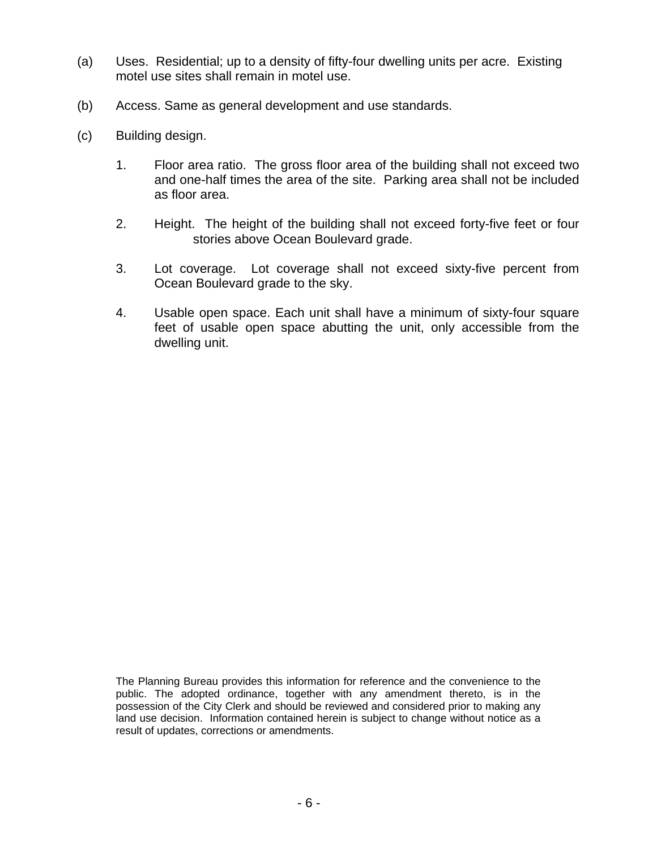- (a) Uses. Residential; up to a density of fifty-four dwelling units per acre. Existing motel use sites shall remain in motel use.
- (b) Access. Same as general development and use standards.
- (c) Building design.
	- 1. Floor area ratio. The gross floor area of the building shall not exceed two and one-half times the area of the site. Parking area shall not be included as floor area.
	- 2. Height. The height of the building shall not exceed forty-five feet or four stories above Ocean Boulevard grade.
	- 3. Lot coverage. Lot coverage shall not exceed sixty-five percent from Ocean Boulevard grade to the sky.
	- 4. Usable open space. Each unit shall have a minimum of sixty-four square feet of usable open space abutting the unit, only accessible from the dwelling unit.

The Planning Bureau provides this information for reference and the convenience to the public. The adopted ordinance, together with any amendment thereto, is in the possession of the City Clerk and should be reviewed and considered prior to making any land use decision. Information contained herein is subject to change without notice as a result of updates, corrections or amendments.